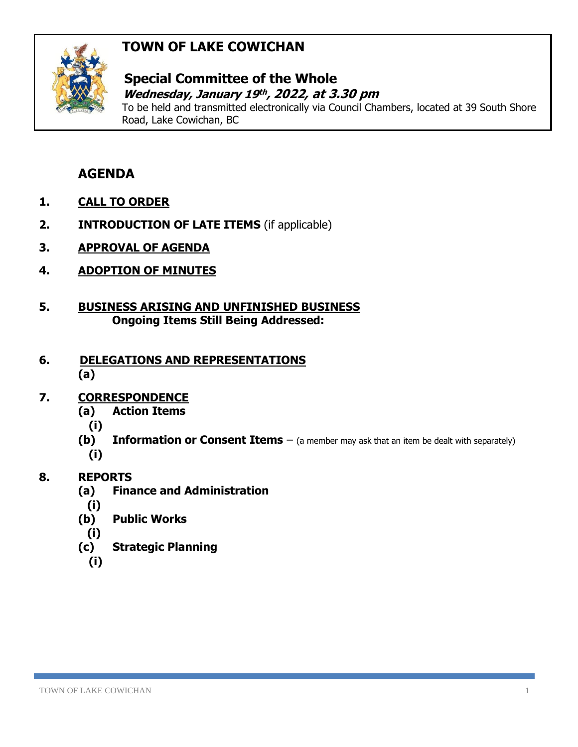# **TOWN OF LAKE COWICHAN**



### **Special Committee of the Whole** *Wednesday, January 19<sup>th</sup>, 2022, at 3.30 pm*

To be held and transmitted electronically via Council Chambers, located at 39 South Shore Road, Lake Cowichan, BC

# **AGENDA**

- **1. CALL TO ORDER**
- **2. INTRODUCTION OF LATE ITEMS** (if applicable)
- **3. APPROVAL OF AGENDA**
- **4. ADOPTION OF MINUTES**
- **5. BUSINESS ARISING AND UNFINISHED BUSINESS Ongoing Items Still Being Addressed:**

#### **6. DELEGATIONS AND REPRESENTATIONS (a)**

### **7. CORRESPONDENCE**

- **(a) Action Items**
	- **(i)**
- **(b) Information or Consent Items** (a member may ask that an item be dealt with separately) **(i)**

## **8. REPORTS**

- **(a) Finance and Administration**
	- **(i)**
- **(b) Public Works**
- **(i)**
- **(c) Strategic Planning**
	- **(i)**